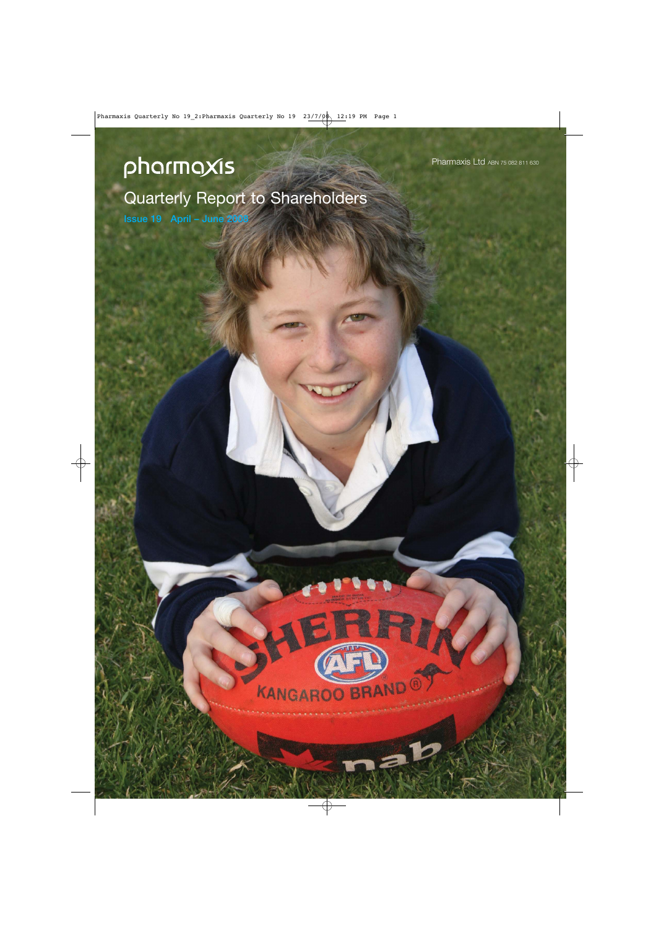# pharmaxis

Quarterly Report to Shareholders

KANGAROO BRAND

**Issue 19 April – June 2008**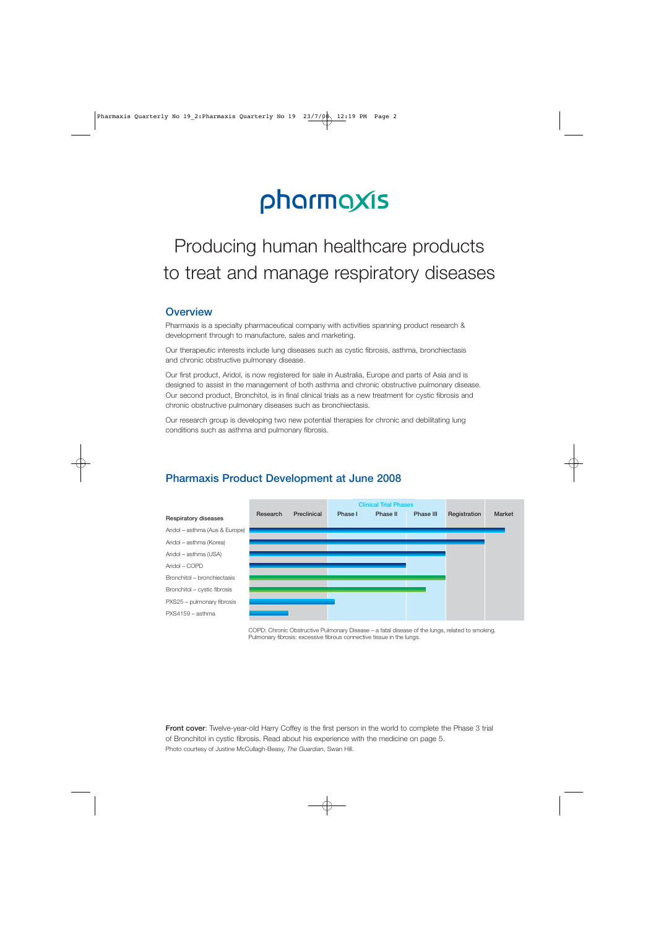# pharmaxis

## Producing human healthcare products to treat and manage respiratory diseases

## **Overview**

Pharmaxis is a specialty pharmaceutical company with activities spanning product research & development through to manufacture, sales and marketing.

Our therapeutic interests include lung diseases such as cystic fibrosis, asthma, bronchiectasis and chronic obstructive pulmonary disease.

Our first product, Aridol, is now registered for sale in Australia, Europe and parts of Asia and is designed to assist in the management of both asthma and chronic obstructive pulmonary disease. Our second product, Bronchitol, is in final clinical trials as a new treatment for cystic fibrosis and chronic obstructive pulmonary diseases such as bronchiectasis.

Our research group is developing two new potential therapies for chronic and debilitating lung conditions such as asthma and pulmonary fibrosis.



## **Pharmaxis Product Development at June 2008**

COPD: Chronic Obstructive Pulmonary Disease – a fatal disease of the lungs, related to smoking. Pulmonary fibrosis: excessive fibrous connective tissue in the lungs.

**Front cover**: Twelve-year-old Harry Coffey is the first person in the world to complete the Phase 3 trial of Bronchitol in cystic fibrosis. Read about his experience with the medicine on page 5. Photo courtesy of Justine McCullagh-Beasy, *The Guardian*, Swan Hill.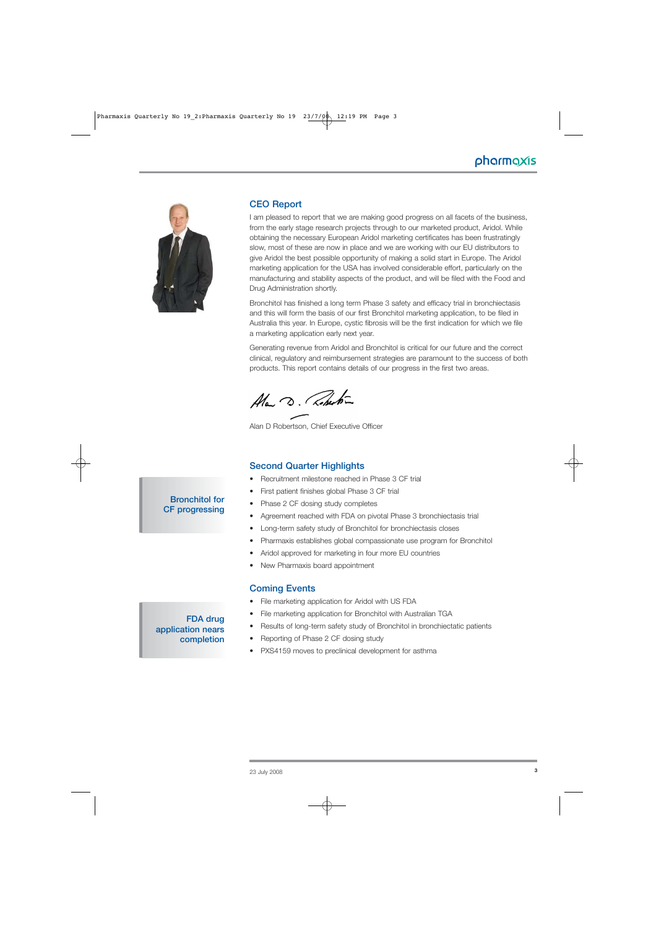

## **CEO Report**

I am pleased to report that we are making good progress on all facets of the business, from the early stage research projects through to our marketed product, Aridol. While obtaining the necessary European Aridol marketing certificates has been frustratingly slow, most of these are now in place and we are working with our EU distributors to give Aridol the best possible opportunity of making a solid start in Europe. The Aridol marketing application for the USA has involved considerable effort, particularly on the manufacturing and stability aspects of the product, and will be filed with the Food and Drug Administration shortly.

Bronchitol has finished a long term Phase 3 safety and efficacy trial in bronchiectasis and this will form the basis of our first Bronchitol marketing application, to be filed in Australia this year. In Europe, cystic fibrosis will be the first indication for which we file a marketing application early next year.

Generating revenue from Aridol and Bronchitol is critical for our future and the correct clinical, regulatory and reimbursement strategies are paramount to the success of both products. This report contains details of our progress in the first two areas.

Ala D. Roberton

Alan D Robertson, Chief Executive Officer

#### **Second Quarter Highlights**

- Recruitment milestone reached in Phase 3 CF trial
- First patient finishes global Phase 3 CF trial
- Phase 2 CF dosing study completes
- Agreement reached with FDA on pivotal Phase 3 bronchiectasis trial
- Long-term safety study of Bronchitol for bronchiectasis closes
- Pharmaxis establishes global compassionate use program for Bronchitol
- Aridol approved for marketing in four more EU countries
- New Pharmaxis board appointment

#### **Coming Events**

- File marketing application for Aridol with US FDA
- File marketing application for Bronchitol with Australian TGA
- Results of long-term safety study of Bronchitol in bronchiectatic patients
- Reporting of Phase 2 CF dosing study
- PXS4159 moves to preclinical development for asthma

## **Bronchitol for CF progressing**

**FDA drug**

**completion**

**application nears**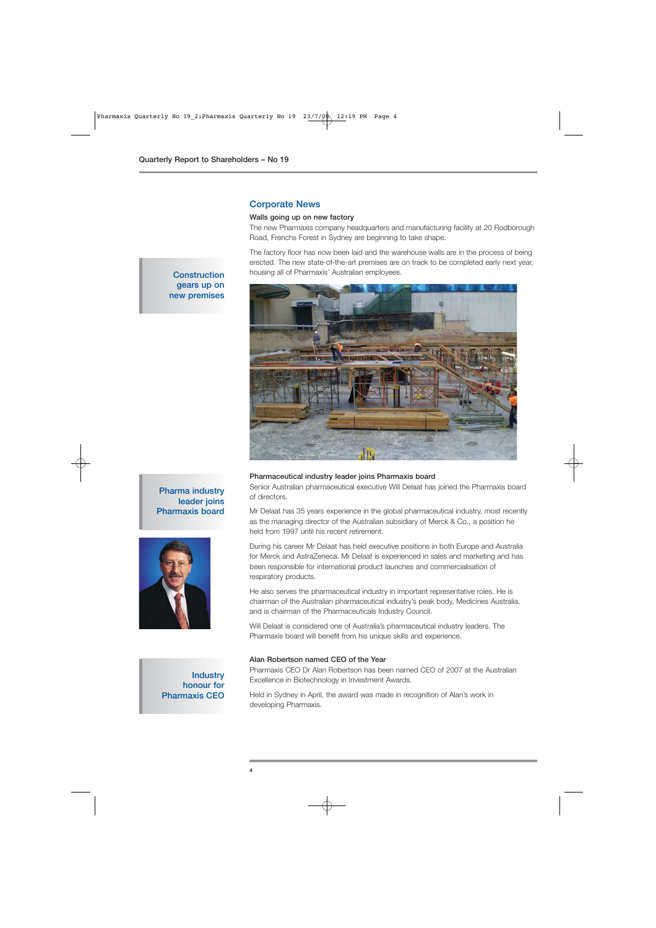#### **Corporate News**

#### **Walls going up on new factory**

The new Pharmaxis company headquarters and manufacturing facility at 20 Rodborough Road, Frenchs Forest in Sydney are beginning to take shape.

The factory floor has now been laid and the warehouse walls are in the process of being erected. The new state-of-the-art premises are on track to be completed early next year, housing all of Pharmaxis' Australian employees.



#### **Construction gears up on new premises**

#### **Pharmaceutical industry leader joins Pharmaxis board**

Senior Australian pharmaceutical executive Will Delaat has joined the Pharmaxis board of directors.

Mr Delaat has 35 years experience in the global pharmaceutical industry, most recently as the managing director of the Australian subsidiary of Merck & Co., a position he held from 1997 until his recent retirement.

During his career Mr Delaat has held executive positions in both Europe and Australia for Merck and AstraZeneca. Mr Delaat is experienced in sales and marketing and has been responsible for international product launches and commercialisation of respiratory products.

He also serves the pharmaceutical industry in important representative roles. He is chairman of the Australian pharmaceutical industry's peak body, Medicines Australia, and is chairman of the Pharmaceuticals Industry Council.

Will Delaat is considered one of Australia's pharmaceutical industry leaders. The Pharmaxis board will benefit from his unique skills and experience.

#### **Alan Robertson named CEO of the Year**

Pharmaxis CEO Dr Alan Robertson has been named CEO of 2007 at the Australian Excellence in Biotechnology in Investment Awards.

Held in Sydney in April, the award was made in recognition of Alan's work in developing Pharmaxis.

## **Pharma industry leader joins Pharmaxis board**



**Industry honour for Pharmaxis CEO**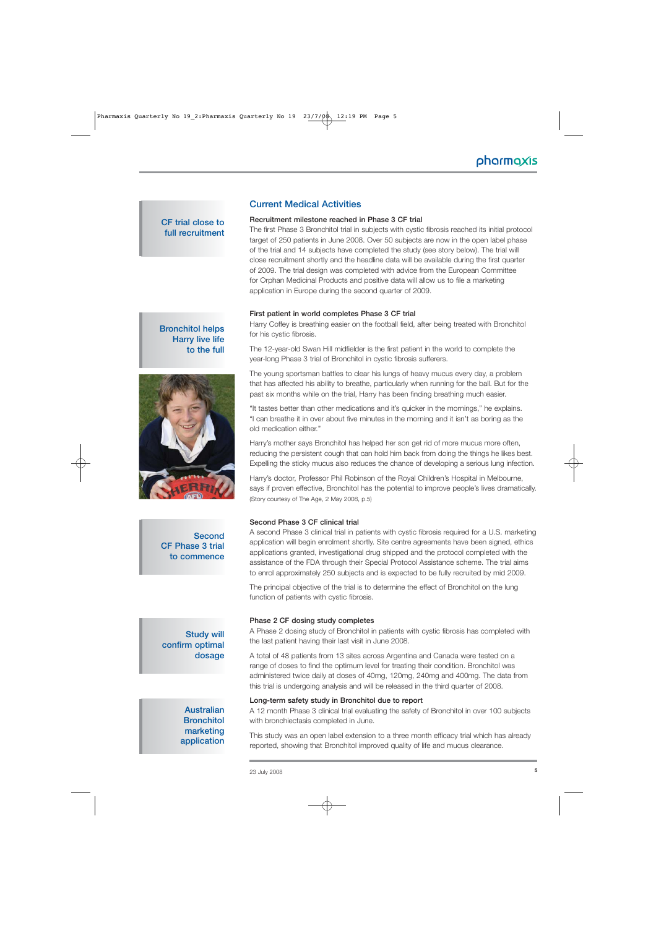## **CF trial close to full recruitment**

## **Current Medical Activities**

#### **Recruitment milestone reached in Phase 3 CF trial**

The first Phase 3 Bronchitol trial in subjects with cystic fibrosis reached its initial protocol target of 250 patients in June 2008. Over 50 subjects are now in the open label phase of the trial and 14 subjects have completed the study (see story below). The trial will close recruitment shortly and the headline data will be available during the first quarter of 2009. The trial design was completed with advice from the European Committee for Orphan Medicinal Products and positive data will allow us to file a marketing application in Europe during the second quarter of 2009.

#### **First patient in world completes Phase 3 CF trial**

Harry Coffey is breathing easier on the football field, after being treated with Bronchitol for his cystic fibrosis.

The 12-year-old Swan Hill midfielder is the first patient in the world to complete the year-long Phase 3 trial of Bronchitol in cystic fibrosis sufferers.

The young sportsman battles to clear his lungs of heavy mucus every day, a problem that has affected his ability to breathe, particularly when running for the ball. But for the past six months while on the trial, Harry has been finding breathing much easier.

"It tastes better than other medications and it's quicker in the mornings," he explains. "I can breathe it in over about five minutes in the morning and it isn't as boring as the old medication either."

Harry's mother says Bronchitol has helped her son get rid of more mucus more often, reducing the persistent cough that can hold him back from doing the things he likes best. Expelling the sticky mucus also reduces the chance of developing a serious lung infection.

Harry's doctor, Professor Phil Robinson of the Royal Children's Hospital in Melbourne, says if proven effective, Bronchitol has the potential to improve people's lives dramatically. (Story courtesy of The Age, 2 May 2008, p.5)

#### **Second Phase 3 CF clinical trial**

A second Phase 3 clinical trial in patients with cystic fibrosis required for a U.S. marketing application will begin enrolment shortly. Site centre agreements have been signed, ethics applications granted, investigational drug shipped and the protocol completed with the assistance of the FDA through their Special Protocol Assistance scheme. The trial aims to enrol approximately 250 subjects and is expected to be fully recruited by mid 2009.

The principal objective of the trial is to determine the effect of Bronchitol on the lung function of patients with cystic fibrosis.

#### **Phase 2 CF dosing study completes**

A Phase 2 dosing study of Bronchitol in patients with cystic fibrosis has completed with the last patient having their last visit in June 2008.

A total of 48 patients from 13 sites across Argentina and Canada were tested on a range of doses to find the optimum level for treating their condition. Bronchitol was administered twice daily at doses of 40mg, 120mg, 240mg and 400mg. The data from this trial is undergoing analysis and will be released in the third quarter of 2008.

#### **Long-term safety study in Bronchitol due to report**

A 12 month Phase 3 clinical trial evaluating the safety of Bronchitol in over 100 subjects with bronchiectasis completed in June.

This study was an open label extension to a three month efficacy trial which has already reported, showing that Bronchitol improved quality of life and mucus clearance.





**Second CF Phase 3 trial to commence**

## **Study will confirm optimal dosage**

## **Australian Bronchitol marketing application**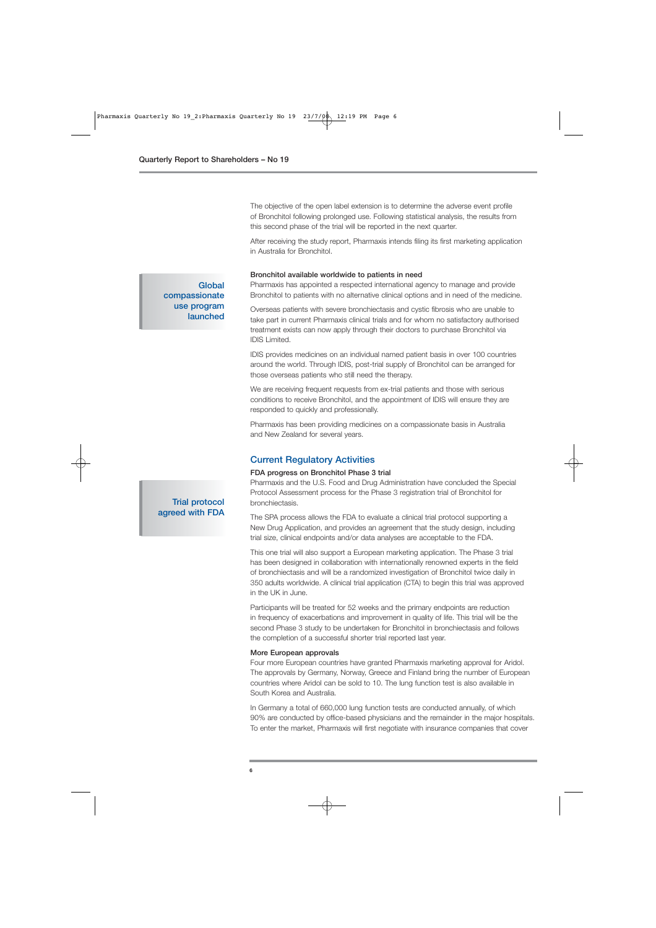The objective of the open label extension is to determine the adverse event profile of Bronchitol following prolonged use. Following statistical analysis, the results from this second phase of the trial will be reported in the next quarter.

After receiving the study report, Pharmaxis intends filing its first marketing application in Australia for Bronchitol.

#### **Bronchitol available worldwide to patients in need**

Pharmaxis has appointed a respected international agency to manage and provide Bronchitol to patients with no alternative clinical options and in need of the medicine.

Overseas patients with severe bronchiectasis and cystic fibrosis who are unable to take part in current Pharmaxis clinical trials and for whom no satisfactory authorised treatment exists can now apply through their doctors to purchase Bronchitol via IDIS Limited.

IDIS provides medicines on an individual named patient basis in over 100 countries around the world. Through IDIS, post-trial supply of Bronchitol can be arranged for those overseas patients who still need the therapy.

We are receiving frequent requests from ex-trial patients and those with serious conditions to receive Bronchitol, and the appointment of IDIS will ensure they are responded to quickly and professionally.

Pharmaxis has been providing medicines on a compassionate basis in Australia and New Zealand for several years.

#### **Current Regulatory Activities**

#### **FDA progress on Bronchitol Phase 3 trial**

Pharmaxis and the U.S. Food and Drug Administration have concluded the Special Protocol Assessment process for the Phase 3 registration trial of Bronchitol for bronchiectasis.

The SPA process allows the FDA to evaluate a clinical trial protocol supporting a New Drug Application, and provides an agreement that the study design, including trial size, clinical endpoints and/or data analyses are acceptable to the FDA.

This one trial will also support a European marketing application. The Phase 3 trial has been designed in collaboration with internationally renowned experts in the field of bronchiectasis and will be a randomized investigation of Bronchitol twice daily in 350 adults worldwide. A clinical trial application (CTA) to begin this trial was approved in the UK in June.

Participants will be treated for 52 weeks and the primary endpoints are reduction in frequency of exacerbations and improvement in quality of life. This trial will be the second Phase 3 study to be undertaken for Bronchitol in bronchiectasis and follows the completion of a successful shorter trial reported last year.

#### **More European approvals**

Four more European countries have granted Pharmaxis marketing approval for Aridol. The approvals by Germany, Norway, Greece and Finland bring the number of European countries where Aridol can be sold to 10. The lung function test is also available in South Korea and Australia.

In Germany a total of 660,000 lung function tests are conducted annually, of which 90% are conducted by office-based physicians and the remainder in the major hospitals. To enter the market, Pharmaxis will first negotiate with insurance companies that cover

## **compassionate use program launched**

**Global**

**Trial protocol agreed with FDA**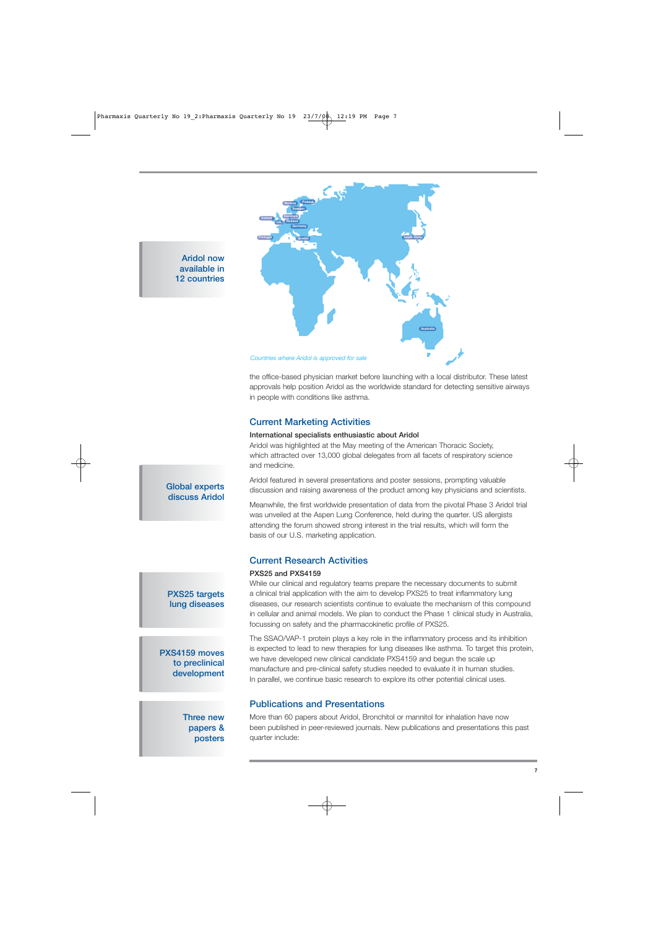

**Aridol now available in 12 countries**

> the office-based physician market before launching with a local distributor. These latest approvals help position Aridol as the worldwide standard for detecting sensitive airways in people with conditions like asthma.

## **Current Marketing Activities**

#### **International specialists enthusiastic about Aridol**

Aridol was highlighted at the May meeting of the American Thoracic Society, which attracted over 13,000 global delegates from all facets of respiratory science and medicine.

Aridol featured in several presentations and poster sessions, prompting valuable discussion and raising awareness of the product among key physicians and scientists.

Meanwhile, the first worldwide presentation of data from the pivotal Phase 3 Aridol trial was unveiled at the Aspen Lung Conference, held during the quarter. US allergists attending the forum showed strong interest in the trial results, which will form the basis of our U.S. marketing application.

## **Current Research Activities**

#### **PXS25 and PXS4159**

While our clinical and regulatory teams prepare the necessary documents to submit a clinical trial application with the aim to develop PXS25 to treat inflammatory lung diseases, our research scientists continue to evaluate the mechanism of this compound in cellular and animal models. We plan to conduct the Phase 1 clinical study in Australia, focussing on safety and the pharmacokinetic profile of PXS25.

The SSAO/VAP-1 protein plays a key role in the inflammatory process and its inhibition is expected to lead to new therapies for lung diseases like asthma. To target this protein, we have developed new clinical candidate PXS4159 and begun the scale up manufacture and pre-clinical safety studies needed to evaluate it in human studies. In parallel, we continue basic research to explore its other potential clinical uses.

## **Publications and Presentations**

More than 60 papers about Aridol, Bronchitol or mannitol for inhalation have now been published in peer-reviewed journals. New publications and presentations this past quarter include:

## **Global experts discuss Aridol**

## **PXS25 targets lung diseases**

**PXS4159 moves to preclinical development**

#### **Three new papers & posters**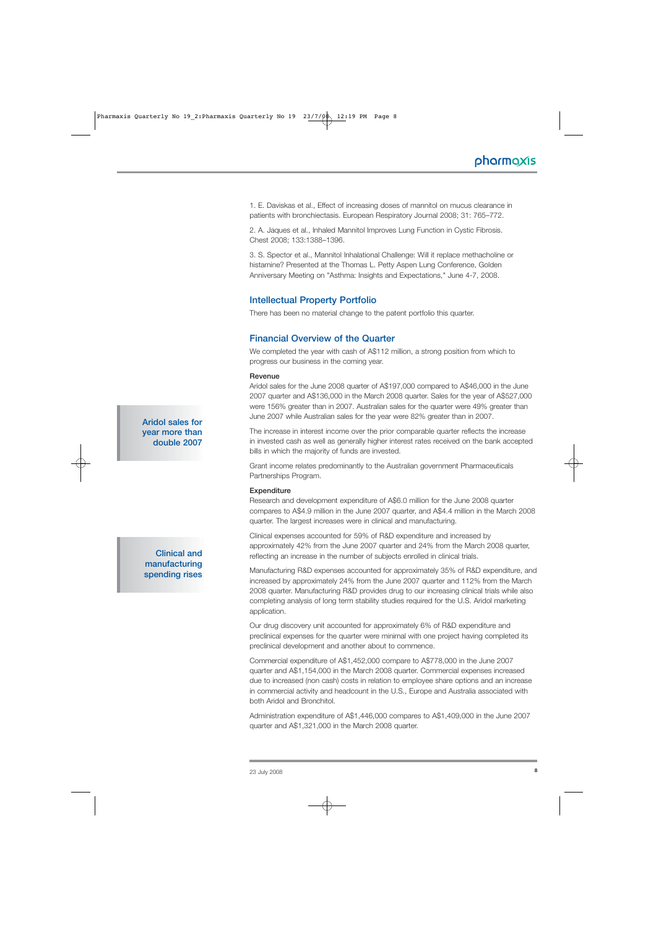1. E. Daviskas et al., Effect of increasing doses of mannitol on mucus clearance in patients with bronchiectasis. European Respiratory Journal 2008; 31: 765–772.

2. A. Jaques et al., Inhaled Mannitol Improves Lung Function in Cystic Fibrosis. Chest 2008; 133:1388–1396.

3. S. Spector et al., Mannitol Inhalational Challenge: Will it replace methacholine or histamine? Presented at the Thomas L. Petty Aspen Lung Conference, Golden Anniversary Meeting on "Asthma: Insights and Expectations," June 4-7, 2008.

## **Intellectual Property Portfolio**

There has been no material change to the patent portfolio this quarter.

## **Financial Overview of the Quarter**

We completed the year with cash of A\$112 million, a strong position from which to progress our business in the coming year.

#### **Revenue**

Aridol sales for the June 2008 quarter of A\$197,000 compared to A\$46,000 in the June 2007 quarter and A\$136,000 in the March 2008 quarter. Sales for the year of A\$527,000 were 156% greater than in 2007. Australian sales for the quarter were 49% greater than June 2007 while Australian sales for the year were 82% greater than in 2007.

The increase in interest income over the prior comparable quarter reflects the increase in invested cash as well as generally higher interest rates received on the bank accepted bills in which the majority of funds are invested.

Grant income relates predominantly to the Australian government Pharmaceuticals Partnerships Program.

#### **Expenditure**

Research and development expenditure of A\$6.0 million for the June 2008 quarter compares to A\$4.9 million in the June 2007 quarter, and A\$4.4 million in the March 2008 quarter. The largest increases were in clinical and manufacturing.

Clinical expenses accounted for 59% of R&D expenditure and increased by approximately 42% from the June 2007 quarter and 24% from the March 2008 quarter, reflecting an increase in the number of subjects enrolled in clinical trials.

Manufacturing R&D expenses accounted for approximately 35% of R&D expenditure, and increased by approximately 24% from the June 2007 quarter and 112% from the March 2008 quarter. Manufacturing R&D provides drug to our increasing clinical trials while also completing analysis of long term stability studies required for the U.S. Aridol marketing application.

Our drug discovery unit accounted for approximately 6% of R&D expenditure and preclinical expenses for the quarter were minimal with one project having completed its preclinical development and another about to commence.

Commercial expenditure of A\$1,452,000 compare to A\$778,000 in the June 2007 quarter and A\$1,154,000 in the March 2008 quarter. Commercial expenses increased due to increased (non cash) costs in relation to employee share options and an increase in commercial activity and headcount in the U.S., Europe and Australia associated with both Aridol and Bronchitol.

Administration expenditure of A\$1,446,000 compares to A\$1,409,000 in the June 2007 quarter and A\$1,321,000 in the March 2008 quarter.

**Aridol sales for year more than double 2007** 

**Clinical and manufacturing spending rises**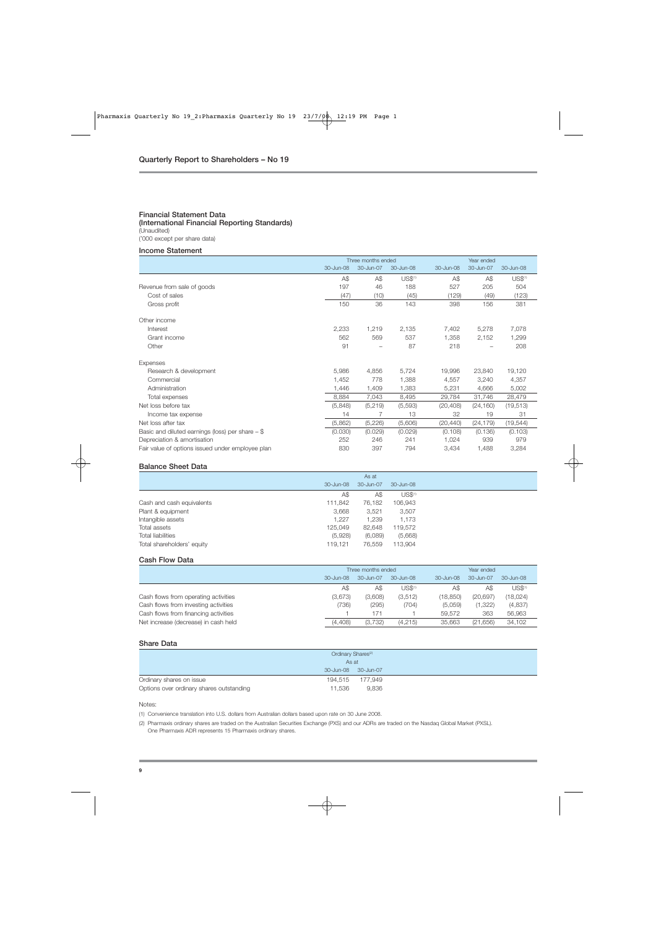#### **Financial Statement Data (International Financial Reporting Standards)** (Unaudited)

('000 except per share data)

#### **Income Statement**

|                                                    |           | Three months ended |                     |           | Year ended |                     |  |
|----------------------------------------------------|-----------|--------------------|---------------------|-----------|------------|---------------------|--|
|                                                    | 30-Jun-08 | 30-Jun-07          | 30-Jun-08           | 30-Jun-08 | 30-Jun-07  | 30-Jun-08           |  |
|                                                    | A\$       | A\$                | US\$ <sup>(1)</sup> | A\$       | A\$        | US\$ <sup>(1)</sup> |  |
| Revenue from sale of goods                         | 197       | 46                 | 188                 | 527       | 205        | 504                 |  |
| Cost of sales                                      | (47)      | (10)               | (45)                | (129)     | (49)       | (123)               |  |
| Gross profit                                       | 150       | 36                 | 143                 | 398       | 156        | 381                 |  |
| Other income                                       |           |                    |                     |           |            |                     |  |
| Interest                                           | 2,233     | 1,219              | 2,135               | 7,402     | 5,278      | 7,078               |  |
| Grant income                                       | 562       | 569                | 537                 | 1,358     | 2,152      | 1,299               |  |
| Other                                              | 91        |                    | 87                  | 218       |            | 208                 |  |
| Expenses                                           |           |                    |                     |           |            |                     |  |
| Research & development                             | 5,986     | 4,856              | 5,724               | 19,996    | 23,840     | 19,120              |  |
| Commercial                                         | 1,452     | 778                | 1,388               | 4,557     | 3,240      | 4,357               |  |
| Administration                                     | 1,446     | 1,409              | 1,383               | 5,231     | 4,666      | 5,002               |  |
| Total expenses                                     | 8,884     | 7,043              | 8,495               | 29,784    | 31,746     | 28,479              |  |
| Net loss before tax                                | (5,848)   | (5,219)            | (5,593)             | (20, 408) | (24, 160)  | (19, 513)           |  |
| Income tax expense                                 | 14        |                    | 13                  | 32        | 19         | 31                  |  |
| Net loss after tax                                 | (5,862)   | (5,226)            | (5,606)             | (20, 440) | (24, 179)  | (19, 544)           |  |
| Basic and diluted earnings (loss) per share $-$ \$ | (0.030)   | (0.029)            | (0.029)             | (0.108)   | (0.136)    | (0.103)             |  |
| Depreciation & amortisation                        | 252       | 246                | 241                 | 1,024     | 939        | 979                 |  |
| Fair value of options issued under employee plan   | 830       | 397                | 794                 | 3,434     | 1,488      | 3,284               |  |

#### **Balance Sheet Data**

|                                       |       | As at     |                     |
|---------------------------------------|-------|-----------|---------------------|
| 30-Jun-08                             |       | 30-Jun-07 | 30-Jun-08           |
|                                       | Α\$   | A\$       | US\$ <sup>(1)</sup> |
| Cash and cash equivalents<br>111,842  |       | 76,182    | 106,943             |
| Plant & equipment<br>3,668            |       | 3,521     | 3,507               |
| Intangible assets                     | 1.227 | 1.239     | 1,173               |
| Total assets<br>125,049               |       | 82.648    | 119,572             |
| Total liabilities<br>(5,928)          |       | (6,089)   | (5,668)             |
| Total shareholders' equity<br>119.121 |       | 76.559    | 113,904             |

#### **Cash Flow Data**

|                                      | Three months ended |           |                     | Year ended |               |                     |
|--------------------------------------|--------------------|-----------|---------------------|------------|---------------|---------------------|
|                                      | $30 - Jun-08$      | 30-Jun-07 | $30 - Jun-08$       | 30-Jun-08  | $30 -$ Jun-07 | 30-Jun-08           |
|                                      | A\$                | A\$       | US\$ <sup>(1)</sup> | A\$        | A\$           | US\$ <sup>(1)</sup> |
| Cash flows from operating activities | (3,673)            | (3,608)   | (3,512)             | (18.850)   | (20.697)      | (18,024)            |
| Cash flows from investing activities | (736)              | (295)     | (704)               | (5,059)    | (1,322)       | (4,837)             |
| Cash flows from financing activities |                    | 171       |                     | 59.572     | 363           | 56,963              |
| Net increase (decrease) in cash held | (4,408)            | (3.732)   | (4,215)             | 35.663     | (21,656)      | 34,102              |

#### **Share Data**

| Ordinary Shares <sup>(2)</sup>           |                     |  |
|------------------------------------------|---------------------|--|
| As at                                    |                     |  |
|                                          | 30-Jun-08 30-Jun-07 |  |
| Ordinary shares on issue                 | 194.515 177.949     |  |
| Options over ordinary shares outstanding | 9.836<br>11.536     |  |

Notes:

(1) Convenience translation into U.S. dollars from Australian dollars based upon rate on 30 June 2008.

(2) Pharmaxis ordinary shares are traded on the Australian Securities Exchange (PXS) and our ADRs are traded on the Nasdaq Global Market (PXSL). One Pharmaxis ADR represents 15 Pharmaxis ordinary shares.